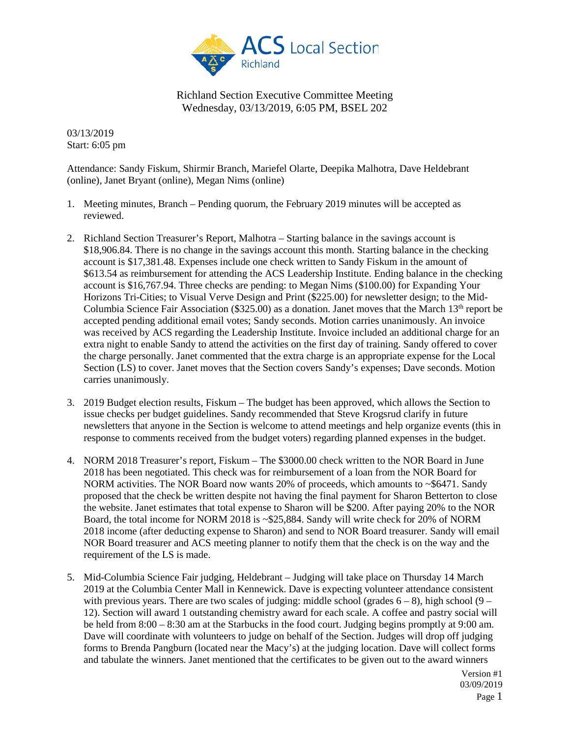

03/13/2019 Start: 6:05 pm

Attendance: Sandy Fiskum, Shirmir Branch, Mariefel Olarte, Deepika Malhotra, Dave Heldebrant (online), Janet Bryant (online), Megan Nims (online)

- 1. Meeting minutes, Branch Pending quorum, the February 2019 minutes will be accepted as reviewed.
- 2. Richland Section Treasurer's Report, Malhotra Starting balance in the savings account is \$18,906.84. There is no change in the savings account this month. Starting balance in the checking account is \$17,381.48. Expenses include one check written to Sandy Fiskum in the amount of \$613.54 as reimbursement for attending the ACS Leadership Institute. Ending balance in the checking account is \$16,767.94. Three checks are pending: to Megan Nims (\$100.00) for Expanding Your Horizons Tri-Cities; to Visual Verve Design and Print (\$225.00) for newsletter design; to the Mid-Columbia Science Fair Association (\$325.00) as a donation. Janet moves that the March  $13<sup>th</sup>$  report be accepted pending additional email votes; Sandy seconds. Motion carries unanimously. An invoice was received by ACS regarding the Leadership Institute. Invoice included an additional charge for an extra night to enable Sandy to attend the activities on the first day of training. Sandy offered to cover the charge personally. Janet commented that the extra charge is an appropriate expense for the Local Section (LS) to cover. Janet moves that the Section covers Sandy's expenses; Dave seconds. Motion carries unanimously.
- 3. 2019 Budget election results, Fiskum The budget has been approved, which allows the Section to issue checks per budget guidelines. Sandy recommended that Steve Krogsrud clarify in future newsletters that anyone in the Section is welcome to attend meetings and help organize events (this in response to comments received from the budget voters) regarding planned expenses in the budget.
- 4. NORM 2018 Treasurer's report, Fiskum The \$3000.00 check written to the NOR Board in June 2018 has been negotiated. This check was for reimbursement of a loan from the NOR Board for NORM activities. The NOR Board now wants 20% of proceeds, which amounts to  $\sim$ \$6471. Sandy proposed that the check be written despite not having the final payment for Sharon Betterton to close the website. Janet estimates that total expense to Sharon will be \$200. After paying 20% to the NOR Board, the total income for NORM 2018 is ~\$25,884. Sandy will write check for 20% of NORM 2018 income (after deducting expense to Sharon) and send to NOR Board treasurer. Sandy will email NOR Board treasurer and ACS meeting planner to notify them that the check is on the way and the requirement of the LS is made.
- 5. Mid-Columbia Science Fair judging, Heldebrant Judging will take place on Thursday 14 March 2019 at the Columbia Center Mall in Kennewick. Dave is expecting volunteer attendance consistent with previous years. There are two scales of judging: middle school (grades  $6 - 8$ ), high school (9 – 12). Section will award 1 outstanding chemistry award for each scale. A coffee and pastry social will be held from 8:00 – 8:30 am at the Starbucks in the food court. Judging begins promptly at 9:00 am. Dave will coordinate with volunteers to judge on behalf of the Section. Judges will drop off judging forms to Brenda Pangburn (located near the Macy's) at the judging location. Dave will collect forms and tabulate the winners. Janet mentioned that the certificates to be given out to the award winners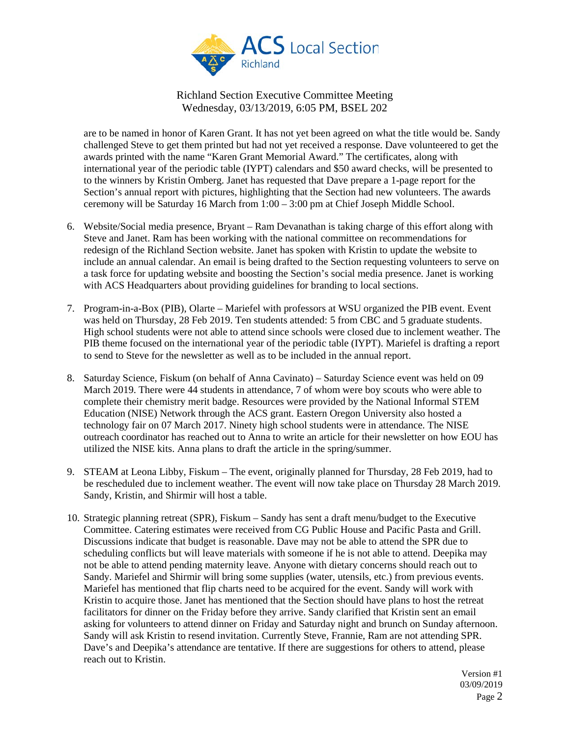

are to be named in honor of Karen Grant. It has not yet been agreed on what the title would be. Sandy challenged Steve to get them printed but had not yet received a response. Dave volunteered to get the awards printed with the name "Karen Grant Memorial Award." The certificates, along with international year of the periodic table (IYPT) calendars and \$50 award checks, will be presented to to the winners by Kristin Omberg. Janet has requested that Dave prepare a 1-page report for the Section's annual report with pictures, highlighting that the Section had new volunteers. The awards ceremony will be Saturday 16 March from 1:00 – 3:00 pm at Chief Joseph Middle School.

- 6. Website/Social media presence, Bryant Ram Devanathan is taking charge of this effort along with Steve and Janet. Ram has been working with the national committee on recommendations for redesign of the Richland Section website. Janet has spoken with Kristin to update the website to include an annual calendar. An email is being drafted to the Section requesting volunteers to serve on a task force for updating website and boosting the Section's social media presence. Janet is working with ACS Headquarters about providing guidelines for branding to local sections.
- 7. Program-in-a-Box (PIB), Olarte Mariefel with professors at WSU organized the PIB event. Event was held on Thursday, 28 Feb 2019. Ten students attended: 5 from CBC and 5 graduate students. High school students were not able to attend since schools were closed due to inclement weather. The PIB theme focused on the international year of the periodic table (IYPT). Mariefel is drafting a report to send to Steve for the newsletter as well as to be included in the annual report.
- 8. Saturday Science, Fiskum (on behalf of Anna Cavinato) Saturday Science event was held on 09 March 2019. There were 44 students in attendance, 7 of whom were boy scouts who were able to complete their chemistry merit badge. Resources were provided by the National Informal STEM Education (NISE) Network through the ACS grant. Eastern Oregon University also hosted a technology fair on 07 March 2017. Ninety high school students were in attendance. The NISE outreach coordinator has reached out to Anna to write an article for their newsletter on how EOU has utilized the NISE kits. Anna plans to draft the article in the spring/summer.
- 9. STEAM at Leona Libby, Fiskum The event, originally planned for Thursday, 28 Feb 2019, had to be rescheduled due to inclement weather. The event will now take place on Thursday 28 March 2019. Sandy, Kristin, and Shirmir will host a table.
- 10. Strategic planning retreat (SPR), Fiskum Sandy has sent a draft menu/budget to the Executive Committee. Catering estimates were received from CG Public House and Pacific Pasta and Grill. Discussions indicate that budget is reasonable. Dave may not be able to attend the SPR due to scheduling conflicts but will leave materials with someone if he is not able to attend. Deepika may not be able to attend pending maternity leave. Anyone with dietary concerns should reach out to Sandy. Mariefel and Shirmir will bring some supplies (water, utensils, etc.) from previous events. Mariefel has mentioned that flip charts need to be acquired for the event. Sandy will work with Kristin to acquire those. Janet has mentioned that the Section should have plans to host the retreat facilitators for dinner on the Friday before they arrive. Sandy clarified that Kristin sent an email asking for volunteers to attend dinner on Friday and Saturday night and brunch on Sunday afternoon. Sandy will ask Kristin to resend invitation. Currently Steve, Frannie, Ram are not attending SPR. Dave's and Deepika's attendance are tentative. If there are suggestions for others to attend, please reach out to Kristin.

Version #1 03/09/2019 Page 2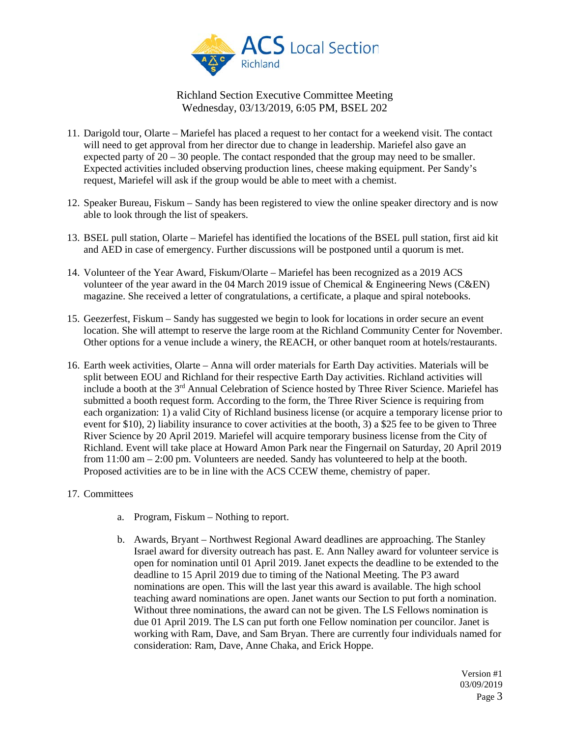

- 11. Darigold tour, Olarte Mariefel has placed a request to her contact for a weekend visit. The contact will need to get approval from her director due to change in leadership. Mariefel also gave an expected party of  $20 - 30$  people. The contact responded that the group may need to be smaller. Expected activities included observing production lines, cheese making equipment. Per Sandy's request, Mariefel will ask if the group would be able to meet with a chemist.
- 12. Speaker Bureau, Fiskum Sandy has been registered to view the online speaker directory and is now able to look through the list of speakers.
- 13. BSEL pull station, Olarte Mariefel has identified the locations of the BSEL pull station, first aid kit and AED in case of emergency. Further discussions will be postponed until a quorum is met.
- 14. Volunteer of the Year Award, Fiskum/Olarte Mariefel has been recognized as a 2019 ACS volunteer of the year award in the 04 March 2019 issue of Chemical & Engineering News (C&EN) magazine. She received a letter of congratulations, a certificate, a plaque and spiral notebooks.
- 15. Geezerfest, Fiskum Sandy has suggested we begin to look for locations in order secure an event location. She will attempt to reserve the large room at the Richland Community Center for November. Other options for a venue include a winery, the REACH, or other banquet room at hotels/restaurants.
- 16. Earth week activities, Olarte Anna will order materials for Earth Day activities. Materials will be split between EOU and Richland for their respective Earth Day activities. Richland activities will include a booth at the 3<sup>rd</sup> Annual Celebration of Science hosted by Three River Science. Mariefel has submitted a booth request form. According to the form, the Three River Science is requiring from each organization: 1) a valid City of Richland business license (or acquire a temporary license prior to event for \$10), 2) liability insurance to cover activities at the booth, 3) a \$25 fee to be given to Three River Science by 20 April 2019. Mariefel will acquire temporary business license from the City of Richland. Event will take place at Howard Amon Park near the Fingernail on Saturday, 20 April 2019 from 11:00 am – 2:00 pm. Volunteers are needed. Sandy has volunteered to help at the booth. Proposed activities are to be in line with the ACS CCEW theme, chemistry of paper.
- 17. Committees
	- a. Program, Fiskum Nothing to report.
	- b. Awards, Bryant Northwest Regional Award deadlines are approaching. The Stanley Israel award for diversity outreach has past. E. Ann Nalley award for volunteer service is open for nomination until 01 April 2019. Janet expects the deadline to be extended to the deadline to 15 April 2019 due to timing of the National Meeting. The P3 award nominations are open. This will the last year this award is available. The high school teaching award nominations are open. Janet wants our Section to put forth a nomination. Without three nominations, the award can not be given. The LS Fellows nomination is due 01 April 2019. The LS can put forth one Fellow nomination per councilor. Janet is working with Ram, Dave, and Sam Bryan. There are currently four individuals named for consideration: Ram, Dave, Anne Chaka, and Erick Hoppe.

Version #1 03/09/2019 Page 3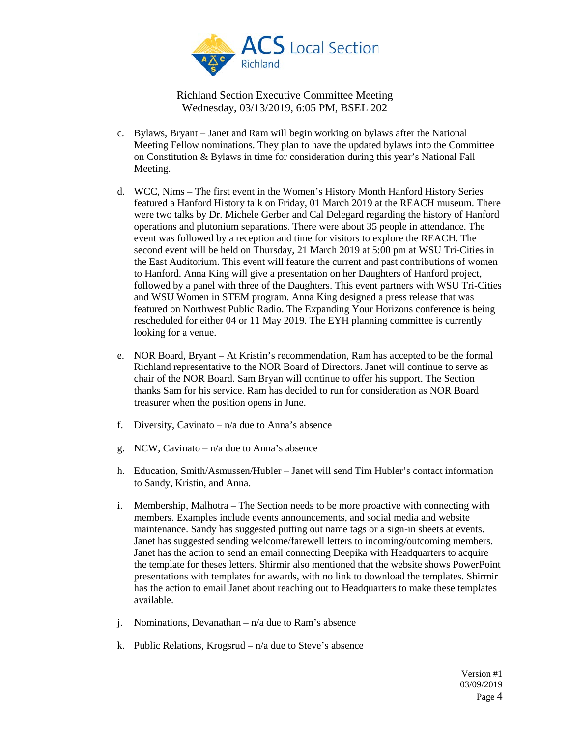

- c. Bylaws, Bryant Janet and Ram will begin working on bylaws after the National Meeting Fellow nominations. They plan to have the updated bylaws into the Committee on Constitution & Bylaws in time for consideration during this year's National Fall Meeting.
- d. WCC, Nims The first event in the Women's History Month Hanford History Series featured a Hanford History talk on Friday, 01 March 2019 at the REACH museum. There were two talks by Dr. Michele Gerber and Cal Delegard regarding the history of Hanford operations and plutonium separations. There were about 35 people in attendance. The event was followed by a reception and time for visitors to explore the REACH. The second event will be held on Thursday, 21 March 2019 at 5:00 pm at WSU Tri-Cities in the East Auditorium. This event will feature the current and past contributions of women to Hanford. Anna King will give a presentation on her Daughters of Hanford project, followed by a panel with three of the Daughters. This event partners with WSU Tri-Cities and WSU Women in STEM program. Anna King designed a press release that was featured on Northwest Public Radio. The Expanding Your Horizons conference is being rescheduled for either 04 or 11 May 2019. The EYH planning committee is currently looking for a venue.
- e. NOR Board, Bryant At Kristin's recommendation, Ram has accepted to be the formal Richland representative to the NOR Board of Directors. Janet will continue to serve as chair of the NOR Board. Sam Bryan will continue to offer his support. The Section thanks Sam for his service. Ram has decided to run for consideration as NOR Board treasurer when the position opens in June.
- f. Diversity, Cavinato  $-\frac{n}{a}$  due to Anna's absence
- g. NCW, Cavinato  $n/a$  due to Anna's absence
- h. Education, Smith/Asmussen/Hubler Janet will send Tim Hubler's contact information to Sandy, Kristin, and Anna.
- i. Membership, Malhotra The Section needs to be more proactive with connecting with members. Examples include events announcements, and social media and website maintenance. Sandy has suggested putting out name tags or a sign-in sheets at events. Janet has suggested sending welcome/farewell letters to incoming/outcoming members. Janet has the action to send an email connecting Deepika with Headquarters to acquire the template for theses letters. Shirmir also mentioned that the website shows PowerPoint presentations with templates for awards, with no link to download the templates. Shirmir has the action to email Janet about reaching out to Headquarters to make these templates available.
- j. Nominations, Devanathan  $n/a$  due to Ram's absence
- k. Public Relations, Krogsrud  $n/a$  due to Steve's absence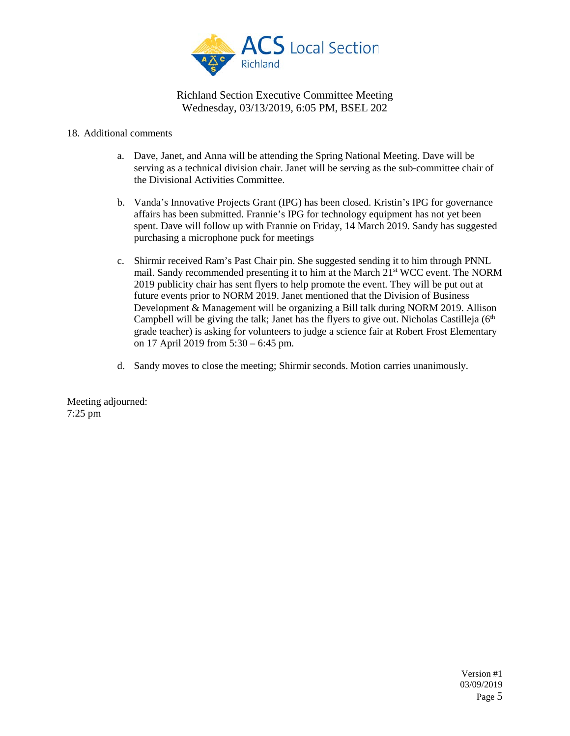

#### 18. Additional comments

- a. Dave, Janet, and Anna will be attending the Spring National Meeting. Dave will be serving as a technical division chair. Janet will be serving as the sub-committee chair of the Divisional Activities Committee.
- b. Vanda's Innovative Projects Grant (IPG) has been closed. Kristin's IPG for governance affairs has been submitted. Frannie's IPG for technology equipment has not yet been spent. Dave will follow up with Frannie on Friday, 14 March 2019. Sandy has suggested purchasing a microphone puck for meetings
- c. Shirmir received Ram's Past Chair pin. She suggested sending it to him through PNNL mail. Sandy recommended presenting it to him at the March 21st WCC event. The NORM 2019 publicity chair has sent flyers to help promote the event. They will be put out at future events prior to NORM 2019. Janet mentioned that the Division of Business Development & Management will be organizing a Bill talk during NORM 2019. Allison Campbell will be giving the talk; Janet has the flyers to give out. Nicholas Castilleja  $(6<sup>th</sup>$ grade teacher) is asking for volunteers to judge a science fair at Robert Frost Elementary on 17 April 2019 from 5:30 – 6:45 pm.
- d. Sandy moves to close the meeting; Shirmir seconds. Motion carries unanimously.

Meeting adjourned: 7:25 pm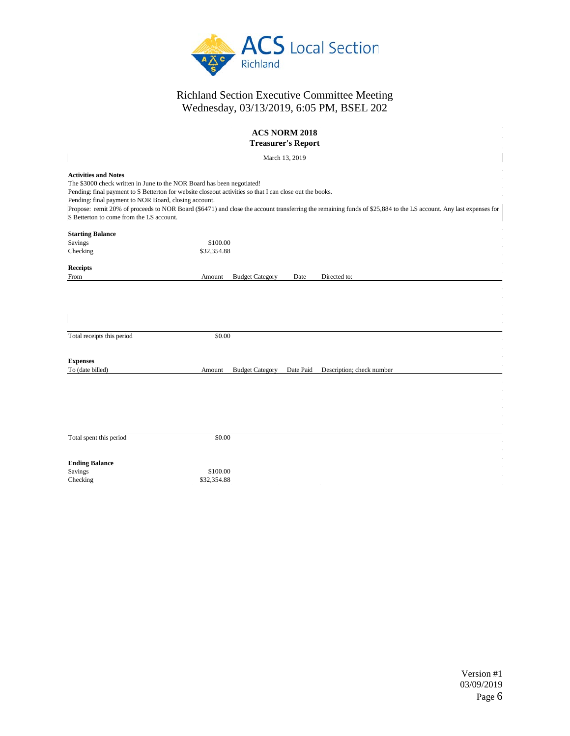

| ACS NORM 2018<br><b>Treasurer's Report</b>                                                                                                                                                                                                                                                                                                                                                                                                                                                 |                                                                            |  |  |  |  |  |  |
|--------------------------------------------------------------------------------------------------------------------------------------------------------------------------------------------------------------------------------------------------------------------------------------------------------------------------------------------------------------------------------------------------------------------------------------------------------------------------------------------|----------------------------------------------------------------------------|--|--|--|--|--|--|
| March 13, 2019                                                                                                                                                                                                                                                                                                                                                                                                                                                                             |                                                                            |  |  |  |  |  |  |
| <b>Activities and Notes</b><br>The \$3000 check written in June to the NOR Board has been negotiated!<br>Pending: final payment to S Betterton for website closeout activities so that I can close out the books.<br>Pending: final payment to NOR Board, closing account.<br>Propose: remit 20% of proceeds to NOR Board (\$6471) and close the account transferring the remaining funds of \$25,884 to the LS account. Any last expenses for<br>S Betterton to come from the LS account. |                                                                            |  |  |  |  |  |  |
| <b>Starting Balance</b><br>Savings<br>Checking                                                                                                                                                                                                                                                                                                                                                                                                                                             | \$100.00<br>\$32,354.88                                                    |  |  |  |  |  |  |
| <b>Receipts</b><br>From                                                                                                                                                                                                                                                                                                                                                                                                                                                                    | <b>Budget Category</b><br>Directed to:<br>Amount<br>Date                   |  |  |  |  |  |  |
| Total receipts this period                                                                                                                                                                                                                                                                                                                                                                                                                                                                 | \$0.00                                                                     |  |  |  |  |  |  |
| <b>Expenses</b><br>To (date billed)                                                                                                                                                                                                                                                                                                                                                                                                                                                        | <b>Budget Category</b><br>Date Paid<br>Description; check number<br>Amount |  |  |  |  |  |  |
|                                                                                                                                                                                                                                                                                                                                                                                                                                                                                            |                                                                            |  |  |  |  |  |  |
| Total spent this period                                                                                                                                                                                                                                                                                                                                                                                                                                                                    | \$0.00                                                                     |  |  |  |  |  |  |
| <b>Ending Balance</b><br>Savings<br>Checking                                                                                                                                                                                                                                                                                                                                                                                                                                               | \$100.00<br>\$32,354.88                                                    |  |  |  |  |  |  |